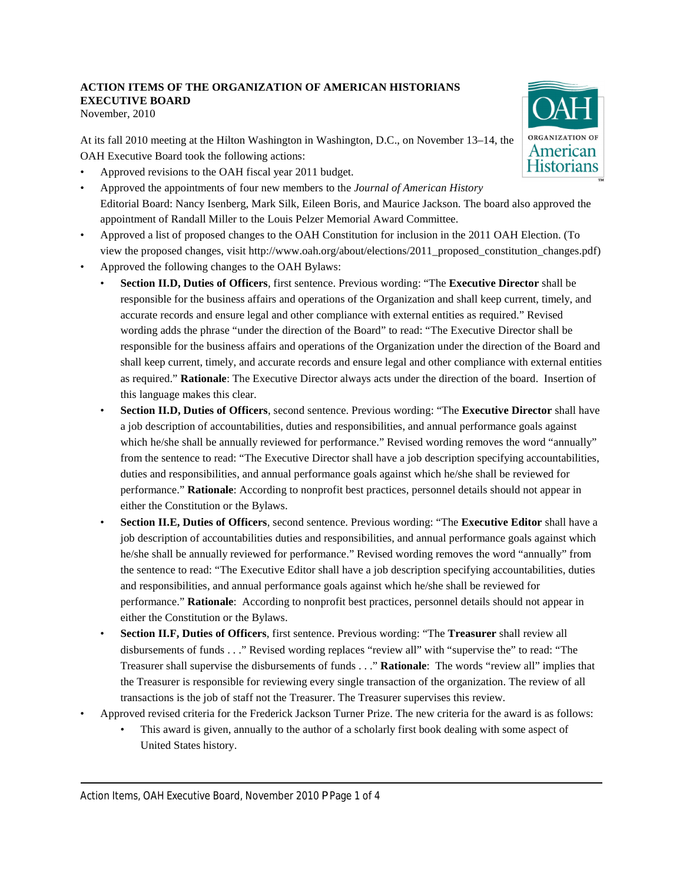## **ACTION ITEMS OF THE ORGANIZATION OF AMERICAN HISTORIANS EXECUTIVE BOARD**

November, 2010

At its fall 2010 meeting at the Hilton Washington in Washington, D.C., on November 13–14, the OAH Executive Board took the following actions:

- Approved revisions to the OAH fiscal year 2011 budget.
- Approved the appointments of four new members to the *Journal of American History* Editorial Board: Nancy Isenberg, Mark Silk, Eileen Boris, and Maurice Jackson. The board also approved the appointment of Randall Miller to the Louis Pelzer Memorial Award Committee.
- Approved a list of proposed changes to the OAH Constitution for inclusion in the 2011 OAH Election. (To view the proposed changes, visit http://www.oah.org/about/elections/2011\_proposed\_constitution\_changes.pdf)
- Approved the following changes to the OAH Bylaws:
	- **Section II.D, Duties of Officers**, first sentence. Previous wording: "The **Executive Director** shall be responsible for the business affairs and operations of the Organization and shall keep current, timely, and accurate records and ensure legal and other compliance with external entities as required." Revised wording adds the phrase "under the direction of the Board" to read: "The Executive Director shall be responsible for the business affairs and operations of the Organization under the direction of the Board and shall keep current, timely, and accurate records and ensure legal and other compliance with external entities as required." **Rationale**: The Executive Director always acts under the direction of the board. Insertion of this language makes this clear.
	- **Section II.D, Duties of Officers**, second sentence. Previous wording: "The **Executive Director** shall have a job description of accountabilities, duties and responsibilities, and annual performance goals against which he/she shall be annually reviewed for performance." Revised wording removes the word "annually" from the sentence to read: "The Executive Director shall have a job description specifying accountabilities, duties and responsibilities, and annual performance goals against which he/she shall be reviewed for performance." **Rationale**: According to nonprofit best practices, personnel details should not appear in either the Constitution or the Bylaws.
	- **Section II.E, Duties of Officers**, second sentence. Previous wording: "The **Executive Editor** shall have a job description of accountabilities duties and responsibilities, and annual performance goals against which he/she shall be annually reviewed for performance." Revised wording removes the word "annually" from the sentence to read: "The Executive Editor shall have a job description specifying accountabilities, duties and responsibilities, and annual performance goals against which he/she shall be reviewed for performance." **Rationale**: According to nonprofit best practices, personnel details should not appear in either the Constitution or the Bylaws.
	- **Section II.F, Duties of Officers**, first sentence. Previous wording: "The **Treasurer** shall review all disbursements of funds . . ." Revised wording replaces "review all" with "supervise the" to read: "The Treasurer shall supervise the disbursements of funds . . ." **Rationale**: The words "review all" implies that the Treasurer is responsible for reviewing every single transaction of the organization. The review of all transactions is the job of staff not the Treasurer. The Treasurer supervises this review.
- Approved revised criteria for the Frederick Jackson Turner Prize. The new criteria for the award is as follows:
	- This award is given, annually to the author of a scholarly first book dealing with some aspect of United States history.

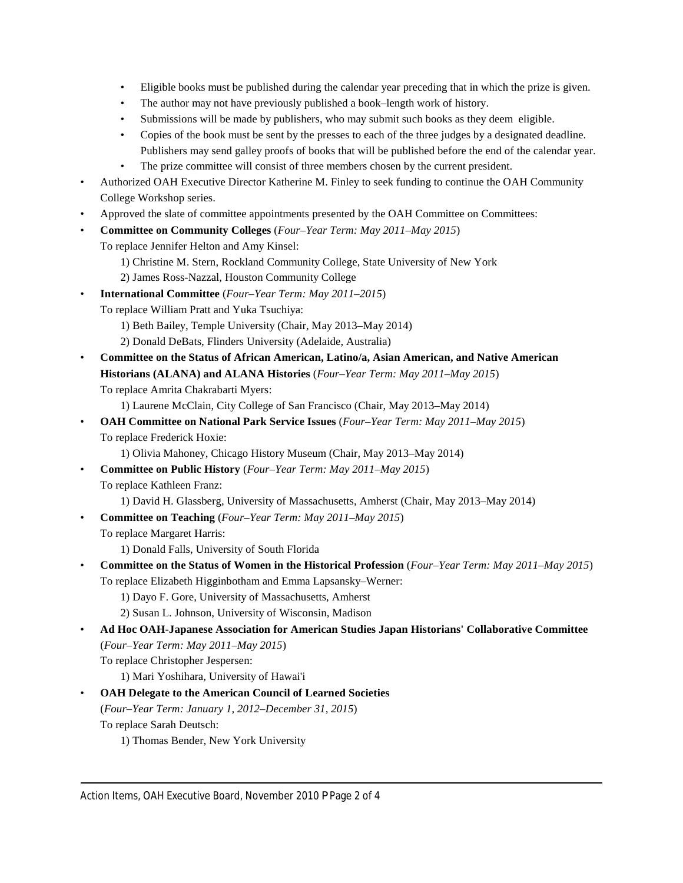- Eligible books must be published during the calendar year preceding that in which the prize is given.
- The author may not have previously published a book–length work of history.
- Submissions will be made by publishers, who may submit such books as they deem eligible.
- Copies of the book must be sent by the presses to each of the three judges by a designated deadline. Publishers may send galley proofs of books that will be published before the end of the calendar year.
- The prize committee will consist of three members chosen by the current president.
- Authorized OAH Executive Director Katherine M. Finley to seek funding to continue the OAH Community College Workshop series.
- Approved the slate of committee appointments presented by the OAH Committee on Committees:
- **Committee on Community Colleges** (*Four–Year Term: May 2011–May 2015*)

To replace Jennifer Helton and Amy Kinsel:

- 1) Christine M. Stern, Rockland Community College, State University of New York
- 2) James Ross-Nazzal, Houston Community College
- **International Committee** (*Four–Year Term: May 2011–2015*)

To replace William Pratt and Yuka Tsuchiya:

1) Beth Bailey, Temple University (Chair, May 2013*–*May 2014)

2) Donald DeBats, Flinders University (Adelaide, Australia)

• **Committee on the Status of African American, Latino/a, Asian American, and Native American Historians (ALANA) and ALANA Histories** (*Four–Year Term: May 2011–May 2015*) To replace Amrita Chakrabarti Myers:

1) Laurene McClain, City College of San Francisco (Chair, May 2013*–*May 2014)

- **OAH Committee on National Park Service Issues** (*Four–Year Term: May 2011–May 2015*) To replace Frederick Hoxie:
	- 1) Olivia Mahoney, Chicago History Museum (Chair, May 2013*–*May 2014)
- **Committee on Public History** (*Four–Year Term: May 2011–May 2015*) To replace Kathleen Franz:
	- 1) David H. Glassberg, University of Massachusetts, Amherst (Chair, May 2013*–*May 2014)
- **Committee on Teaching** (*Four–Year Term: May 2011–May 2015*) To replace Margaret Harris:

1) Donald Falls, University of South Florida

- **Committee on the Status of Women in the Historical Profession** (*Four–Year Term: May 2011–May 2015*) To replace Elizabeth Higginbotham and Emma Lapsansky*–*Werner:
	- 1) Dayo F. Gore, University of Massachusetts, Amherst
	- 2) Susan L. Johnson, University of Wisconsin, Madison
- **Ad Hoc OAH-Japanese Association for American Studies Japan Historians' Collaborative Committee** (*Four–Year Term: May 2011–May 2015*) To replace Christopher Jespersen:

1) Mari Yoshihara, University of Hawai'i

• **OAH Delegate to the American Council of Learned Societies** (*Four–Year Term: January 1, 2012–December 31, 2015*) To replace Sarah Deutsch: 1) Thomas Bender, New York University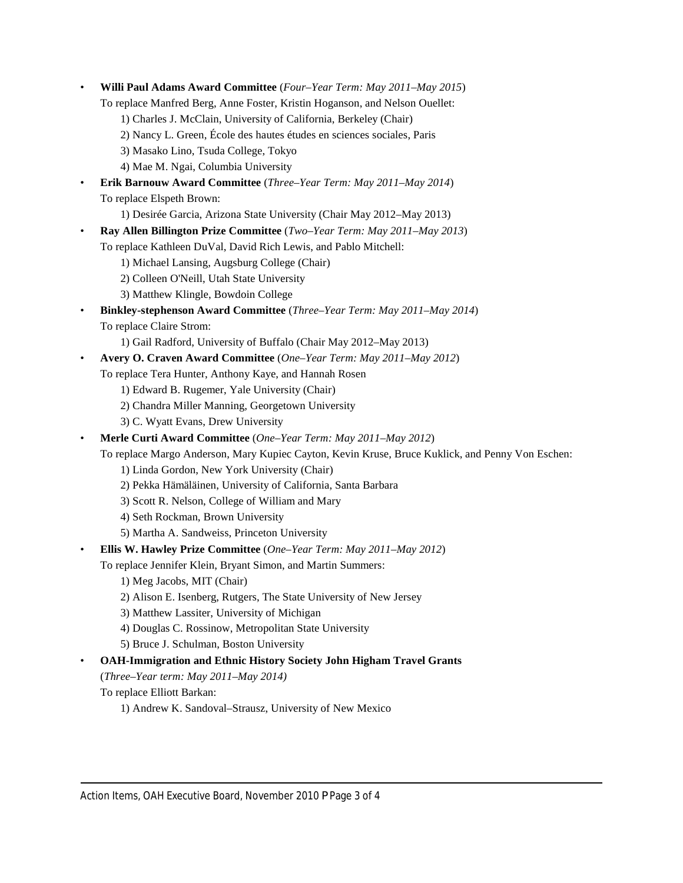| $\bullet$ | Willi Paul Adams Award Committee (Four–Year Term: May 2011–May 2015)                             |
|-----------|--------------------------------------------------------------------------------------------------|
|           | To replace Manfred Berg, Anne Foster, Kristin Hoganson, and Nelson Ouellet:                      |
|           | 1) Charles J. McClain, University of California, Berkeley (Chair)                                |
|           | 2) Nancy L. Green, École des hautes études en sciences sociales, Paris                           |
|           | 3) Masako Lino, Tsuda College, Tokyo                                                             |
|           | 4) Mae M. Ngai, Columbia University                                                              |
| $\bullet$ | Erik Barnouw Award Committee (Three-Year Term: May 2011-May 2014)                                |
|           | To replace Elspeth Brown:                                                                        |
|           | 1) Desirée Garcia, Arizona State University (Chair May 2012–May 2013)                            |
| ٠         | Ray Allen Billington Prize Committee (Two-Year Term: May 2011–May 2013)                          |
|           | To replace Kathleen DuVal, David Rich Lewis, and Pablo Mitchell:                                 |
|           | 1) Michael Lansing, Augsburg College (Chair)                                                     |
|           | 2) Colleen O'Neill, Utah State University                                                        |
|           | 3) Matthew Klingle, Bowdoin College                                                              |
| $\bullet$ | Binkley-stephenson Award Committee (Three-Year Term: May 2011-May 2014)                          |
|           | To replace Claire Strom:                                                                         |
|           | 1) Gail Radford, University of Buffalo (Chair May 2012-May 2013)                                 |
| $\bullet$ | Avery O. Craven Award Committee (One-Year Term: May 2011-May 2012)                               |
|           | To replace Tera Hunter, Anthony Kaye, and Hannah Rosen                                           |
|           | 1) Edward B. Rugemer, Yale University (Chair)                                                    |
|           | 2) Chandra Miller Manning, Georgetown University                                                 |
|           | 3) C. Wyatt Evans, Drew University                                                               |
| ٠         | Merle Curti Award Committee (One-Year Term: May 2011-May 2012)                                   |
|           | To replace Margo Anderson, Mary Kupiec Cayton, Kevin Kruse, Bruce Kuklick, and Penny Von Eschen: |
|           | 1) Linda Gordon, New York University (Chair)                                                     |
|           | 2) Pekka Hämäläinen, University of California, Santa Barbara                                     |
|           | 3) Scott R. Nelson, College of William and Mary                                                  |
|           | 4) Seth Rockman, Brown University                                                                |
|           | 5) Martha A. Sandweiss, Princeton University                                                     |
| $\bullet$ | Ellis W. Hawley Prize Committee (One-Year Term: May 2011-May 2012)                               |
|           | To replace Jennifer Klein, Bryant Simon, and Martin Summers:                                     |
|           | 1) Meg Jacobs, MIT (Chair)                                                                       |
|           | 2) Alison E. Isenberg, Rutgers, The State University of New Jersey                               |
|           | 3) Matthew Lassiter, University of Michigan                                                      |
|           | 4) Douglas C. Rossinow, Metropolitan State University                                            |
|           | 5) Bruce J. Schulman, Boston University                                                          |
| $\bullet$ | OAH-Immigration and Ethnic History Society John Higham Travel Grants                             |
|           | (Three-Year term: May 2011-May 2014)                                                             |
|           | To replace Elliott Barkan:                                                                       |
|           | 1) Andrew K. Sandoval-Strausz, University of New Mexico                                          |
|           |                                                                                                  |